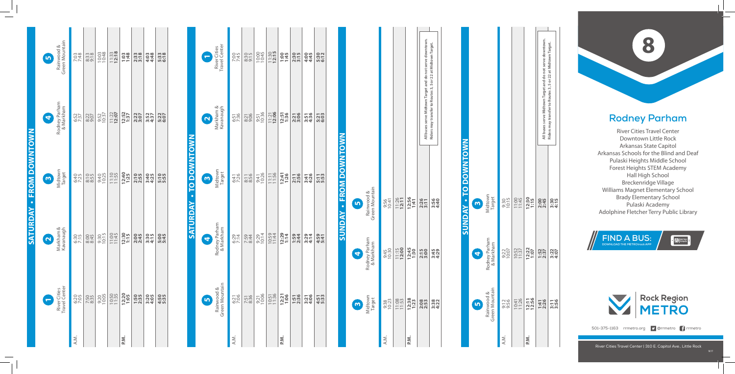## **Rodney Parham**

River Cities Travel Center Downtown Little Rock Arkansas State Capitol Arkansas Schools for the Blind and Deaf Pulaski Heights Middle School Forest Heights STEM Academy Hall High School Breckenridge Village Williams Magnet Elementary School Brady Elementary School Pulaski Academy **Rodney Parham**<br>
River Cities Travel Center<br>
Downtown Little Rock<br>
Arkansas State Capitol<br>
Arkansas Schools for the Blind and Dea<br>
Pulaski Heights Middle School<br>
Forest Heights STEM Academy<br>
Hall High School<br>
Breckenridge

River Cities Travel Center | 310 E. Capitol Ave., Little Rock

| l                                                                                                                       |  |
|-------------------------------------------------------------------------------------------------------------------------|--|
|                                                                                                                         |  |
| I                                                                                                                       |  |
| i                                                                                                                       |  |
| ľ                                                                                                                       |  |
|                                                                                                                         |  |
| I<br>֚֘֝֬                                                                                                               |  |
|                                                                                                                         |  |
|                                                                                                                         |  |
|                                                                                                                         |  |
|                                                                                                                         |  |
| and the state of the state of the state of the state of the state of the state of the state of the state of th          |  |
|                                                                                                                         |  |
|                                                                                                                         |  |
|                                                                                                                         |  |
| ı                                                                                                                       |  |
|                                                                                                                         |  |
|                                                                                                                         |  |
|                                                                                                                         |  |
| l<br>֚֚֬                                                                                                                |  |
|                                                                                                                         |  |
|                                                                                                                         |  |
|                                                                                                                         |  |
| I                                                                                                                       |  |
|                                                                                                                         |  |
|                                                                                                                         |  |
| ļ                                                                                                                       |  |
|                                                                                                                         |  |
| ĺ                                                                                                                       |  |
|                                                                                                                         |  |
|                                                                                                                         |  |
| l                                                                                                                       |  |
|                                                                                                                         |  |
|                                                                                                                         |  |
|                                                                                                                         |  |
|                                                                                                                         |  |
|                                                                                                                         |  |
| $\mathcal{L}(\mathcal{L})$ and $\mathcal{L}(\mathcal{L})$ and $\mathcal{L}(\mathcal{L})$ and $\mathcal{L}(\mathcal{L})$ |  |
| <br> <br>                                                                                                               |  |
|                                                                                                                         |  |
|                                                                                                                         |  |
|                                                                                                                         |  |
| I                                                                                                                       |  |
|                                                                                                                         |  |
|                                                                                                                         |  |
|                                                                                                                         |  |
| ļ                                                                                                                       |  |
| l                                                                                                                       |  |
| j                                                                                                                       |  |
|                                                                                                                         |  |
|                                                                                                                         |  |
|                                                                                                                         |  |
| I                                                                                                                       |  |
|                                                                                                                         |  |
|                                                                                                                         |  |
| and the state of the state of the state of the state of the state of the state of the state of the state of th          |  |
|                                                                                                                         |  |
| $\mathcal{L}(\mathcal{L})$ and $\mathcal{L}(\mathcal{L})$ and $\mathcal{L}(\mathcal{L})$ and $\mathcal{L}(\mathcal{L})$ |  |
|                                                                                                                         |  |
| l                                                                                                                       |  |
|                                                                                                                         |  |
|                                                                                                                         |  |
|                                                                                                                         |  |
| I                                                                                                                       |  |
|                                                                                                                         |  |
| I                                                                                                                       |  |

**SUNDAY • FROM DOWNTOWN**

*<u>NAONUS</u>* 

- FROM DOWNTOWN

|                               | River Cities<br>Travel Center<br>8             | 7:45         | 8:30             | 10:00         | $11:30$<br>12:15 | 1:45          | 2:30<br>3:15 | 4:45         | 5:30<br>6:12 |
|-------------------------------|------------------------------------------------|--------------|------------------|---------------|------------------|---------------|--------------|--------------|--------------|
|                               | Markham &<br>Kavanaugh<br>N                    | 6:51<br>7:36 | 8:21             | 9:51<br>10:36 | $11:21$<br>12:06 | 12:51<br>1:36 | 2:21         | 3:51<br>4:36 | 5:21<br>6:33 |
| <b>SATURDAY - TO DOWNTOWN</b> | Midtown<br>Target<br>$\bullet$                 | 6:41<br>7:26 | $8:11$<br>$8:56$ | 9:41<br>10:26 | 11:11<br>11:56   | 12:41<br>1:26 | 2:11         | 3:41<br>4:26 | 5:53         |
|                               | Rodney Parham<br>& Markham<br>G                | 6:29<br>7:14 | 7:59<br>8:44     | 9:29<br>10:14 | 10:59<br>11:44   | 12:29<br>1:14 | 1:59<br>2:44 | 3:29<br>4:14 | 4:59<br>5:41 |
|                               | Green Mountain<br>Rainwood &<br>$\blacksquare$ | 6:21<br>7:06 | 7:51<br>8:36     | 9:21<br>10:06 | 10:51<br>11:36   | 12:21         | 1:51<br>2:36 | 3:21<br>4:06 | 4:51<br>5:33 |
|                               |                                                | A.M.         |                  |               |                  | P.M.          |              |              |              |

| Rainwood &<br>Green Mountain<br>$\bullet$ | 7:03<br>7:48 | $8:38$<br>$9:18$ | 10:03         | $11:33$<br>12:18 | 1:48          | $2:38$<br>$3:18$ | 4:48         | 5:38<br>5:18 |  |
|-------------------------------------------|--------------|------------------|---------------|------------------|---------------|------------------|--------------|--------------|--|
| Rodney Parham<br>& Markham<br>3           | 6:52<br>7:37 | 8:22             | 9:52<br>10:37 | $11:22$<br>12:07 | 12:52<br>1:37 | 2:27             | 3:57<br>4:37 | 5:22         |  |
| Midtown<br>Midtown                        | 6:40<br>7:25 | 8:55             | 9:40<br>10:25 | 11:10            | 12:40<br>1:25 | 2:10             | 3:40<br>4:25 | 5:10         |  |
| Markham &<br>Kavanaugh<br>Q               | 6:30<br>7:15 | 8:45             | 9:30<br>10:15 | 11:00            | 12:30<br>1:15 | 2:345            | 3:30<br>4:15 | 5:45         |  |
| River Cities<br>Travel Center<br>e        | 6:20         | 7:50<br>8:35     | 9:20<br>10:05 | 10:50            | 1:05          | 1:50<br>2:35     | 3:205        | 4:55<br>5:35 |  |
|                                           | A.M.         |                  |               |                  | P.N.          |                  |              |              |  |

|                                           |               |                  | All buses serve Midtown Target and do not serve downtown. | Riders may transfer to Routes 3, 5 or 22 at Midtown Target. |              |  |
|-------------------------------------------|---------------|------------------|-----------------------------------------------------------|-------------------------------------------------------------|--------------|--|
| Green Mountain<br>Rainwood &<br><u>in</u> | 9:56<br>10:41 | $11:26$<br>12:11 | 12:56<br>1:41                                             | 2:26<br>3:11                                                | 3:34<br>4:40 |  |
| Rodney Parham<br>& Markham<br>9           | 9:45<br>10:30 | 11:15<br>12:00   | 12:45<br>1:30                                             | 2:15                                                        | 3:45<br>4:29 |  |
| Midtown<br>Target<br>$\bullet$            | 9:38<br>10:23 | 11:08            | $1:38$<br>1:23                                            | 2:08                                                        | 3:38         |  |
|                                           | A.M.          |                  | P.M.                                                      |                                                             |              |  |



Midtown Target

## **NWOLNMOQ SUNDAY • TO DOWNTOWN** <u>|S</u>  $\bullet$ *<u>ANONDS</u>*

|                   |                     |               | All buses serve Midtown Target and do not serve downtown. | Riders may transfer to Routes 3, 5 or 22 at Midtown Target. |  |
|-------------------|---------------------|---------------|-----------------------------------------------------------|-------------------------------------------------------------|--|
| 9:30<br>10:15     | 11:00               | 12:30<br>1:15 | 2:45                                                      | 3:30<br>4:15                                                |  |
| $9:22$<br>$10:07$ | 10:52               | 12:22<br>1:07 | $1:52$<br>$2:37$                                          | 3:27<br>4:07                                                |  |
|                   | $\frac{255}{10:47}$ | 12:11         | 1:41<br>2:26                                              | 3:56                                                        |  |
| A.M.              |                     | P.M.          |                                                           |                                                             |  |



 $\cdot$   $\boxtimes$  track



501-375-1163 rrmetro.org **9** @rrmetro frrmetro

10/1